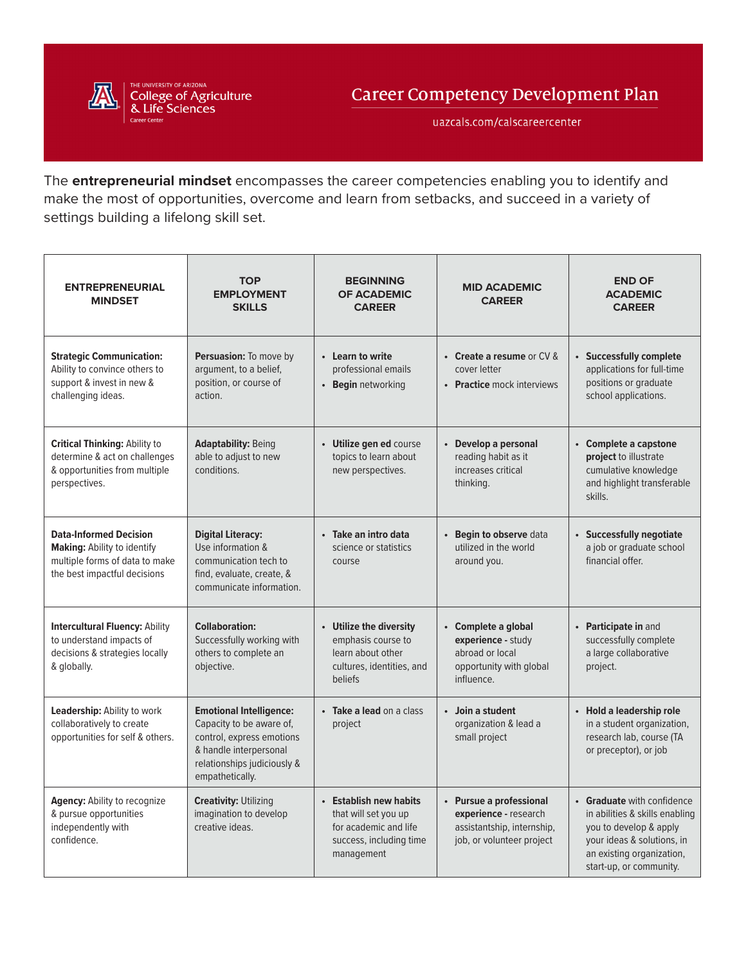

uazcals.com/calscareercenter

The **entrepreneurial mindset** encompasses the career competencies enabling you to identify and make the most of opportunities, overcome and learn from setbacks, and succeed in a variety of settings building a lifelong skill set.

| <b>ENTREPRENEURIAL</b><br><b>MINDSET</b>                                                                                              | <b>TOP</b><br><b>EMPLOYMENT</b><br><b>SKILLS</b>                                                                                                                    | <b>BEGINNING</b><br><b>OF ACADEMIC</b><br><b>CAREER</b>                                                          | <b>MID ACADEMIC</b><br><b>CAREER</b>                                                                        | <b>END OF</b><br><b>ACADEMIC</b><br><b>CAREER</b>                                                                                                                            |
|---------------------------------------------------------------------------------------------------------------------------------------|---------------------------------------------------------------------------------------------------------------------------------------------------------------------|------------------------------------------------------------------------------------------------------------------|-------------------------------------------------------------------------------------------------------------|------------------------------------------------------------------------------------------------------------------------------------------------------------------------------|
| <b>Strategic Communication:</b><br>Ability to convince others to<br>support & invest in new &<br>challenging ideas.                   | Persuasion: To move by<br>argument, to a belief,<br>position, or course of<br>action.                                                                               | • Learn to write<br>professional emails<br><b>Begin</b> networking<br>$\bullet$                                  | • Create a resume or CV &<br>cover letter<br>• Practice mock interviews                                     | • Successfully complete<br>applications for full-time<br>positions or graduate<br>school applications.                                                                       |
| <b>Critical Thinking: Ability to</b><br>determine & act on challenges<br>& opportunities from multiple<br>perspectives.               | <b>Adaptability: Being</b><br>able to adjust to new<br>conditions.                                                                                                  | • Utilize gen ed course<br>topics to learn about<br>new perspectives.                                            | Develop a personal<br>reading habit as it<br>increases critical<br>thinking.                                | • Complete a capstone<br>project to illustrate<br>cumulative knowledge<br>and highlight transferable<br>skills.                                                              |
| <b>Data-Informed Decision</b><br><b>Making: Ability to identify</b><br>multiple forms of data to make<br>the best impactful decisions | <b>Digital Literacy:</b><br>Use information &<br>communication tech to<br>find, evaluate, create, &<br>communicate information.                                     | · Take an intro data<br>science or statistics<br>course                                                          | Begin to observe data<br>utilized in the world<br>around you.                                               | • Successfully negotiate<br>a job or graduate school<br>financial offer.                                                                                                     |
| <b>Intercultural Fluency: Ability</b><br>to understand impacts of<br>decisions & strategies locally<br>& globally.                    | <b>Collaboration:</b><br>Successfully working with<br>others to complete an<br>objective.                                                                           | • Utilize the diversity<br>emphasis course to<br>learn about other<br>cultures, identities, and<br>beliefs       | • Complete a global<br>experience - study<br>abroad or local<br>opportunity with global<br>influence.       | • Participate in and<br>successfully complete<br>a large collaborative<br>project.                                                                                           |
| Leadership: Ability to work<br>collaboratively to create<br>opportunities for self & others.                                          | <b>Emotional Intelligence:</b><br>Capacity to be aware of,<br>control, express emotions<br>& handle interpersonal<br>relationships judiciously &<br>empathetically. | • Take a lead on a class<br>project                                                                              | Join a student<br>organization & lead a<br>small project                                                    | • Hold a leadership role<br>in a student organization,<br>research lab, course (TA<br>or preceptor), or job                                                                  |
| Agency: Ability to recognize<br>& pursue opportunities<br>independently with<br>confidence.                                           | <b>Creativity: Utilizing</b><br>imagination to develop<br>creative ideas.                                                                                           | • Establish new habits<br>that will set you up<br>for academic and life<br>success, including time<br>management | • Pursue a professional<br>experience - research<br>assistantship, internship,<br>job, or volunteer project | • Graduate with confidence<br>in abilities & skills enabling<br>you to develop & apply<br>your ideas & solutions, in<br>an existing organization,<br>start-up, or community. |